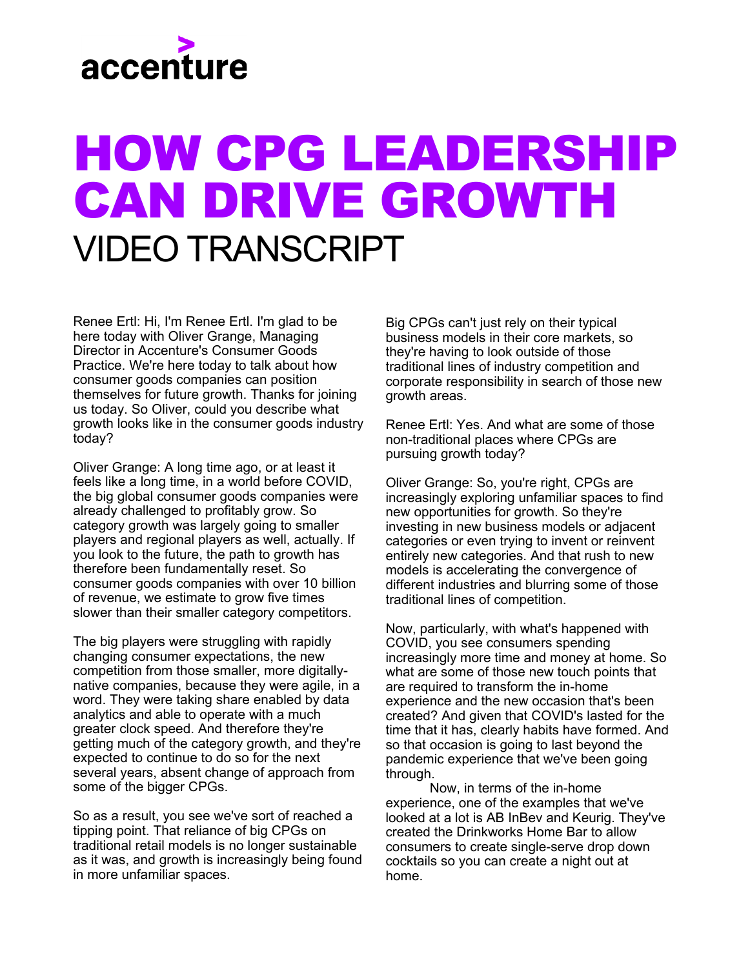## accenture

## 2022 COMMERCIAL BANKING TOP TRENDS - AMERICAN BANKER WEBINAR VIDEO TRANSCRIPT

Moderator - Danielle Fugazy

Speaker - Jared Rorrer – Managing Director, Global Commercial Banking Lead, Accenture

Speaker - Chris Scislowicz – Managing Director, North America Credit Lead, Accenture

Danielle Fugazy - Thank you for joining us today. I'm Danielle Fugazy, a contributing editor with American Banker and I'll be your host and moderator for the next hour. Accenture's commercial banking top trends report is always highly anticipated, and I do want to get right into it because I know how anxious everyone is to hear about what Accenture is thinking about at the start of the New Year. But before I do that, please allow me to take care of a few, I promise very quick, housekeeping items. First, we encourage you to ask questions throughout the broadcast by typing them in directly to your console. Your question will not be seen by your fellow viewers, only I will receive the questions. Towards the end of the program, there will be a link visible for you to download Accenture's full Commercial Banking Top Trends in 2022 report.

I am very pleased to introduce the experts I have with me today. First please welcome Jared Rorrer. Jared is a Managing Director at Accenture and the global practice lead for commercial banking. He has overall accountability for defining the most important

industry trends in priority in commercial banking across the globe, as well as aligning Accenture's teams, capabilities, and technology ecosystem partners to help commercial banking clients successfully execute their strategies. Welcome, Jared and thank you for being with us today.

Jared Rorrer - Thanks, it's great to be here live in the studio with you today.

Danielle - I also have with me in the studio, Chris Scislowicz. He is a Managing Director at Accenture as well as the North America credit practice lead. He has overall responsibility for Accenture's consulting work across retail, mortgage, small business, commercial and corporate lending. Chris specializes in the management and delivery of transformational initiatives and platform implementation for global financial institutions. Chris, welcome to you, and thank you for joining us here today.

Chris Scislowicz - Thank you Danielle it's a pleasure.

Danielle - Accenture and your teams have been putting together this top trends report for three years. And as I mentioned, it's always met with a lot of interest from our audience. I think our audience might agree though, that this year it feels a little different, and that the findings feel a little different than in years past.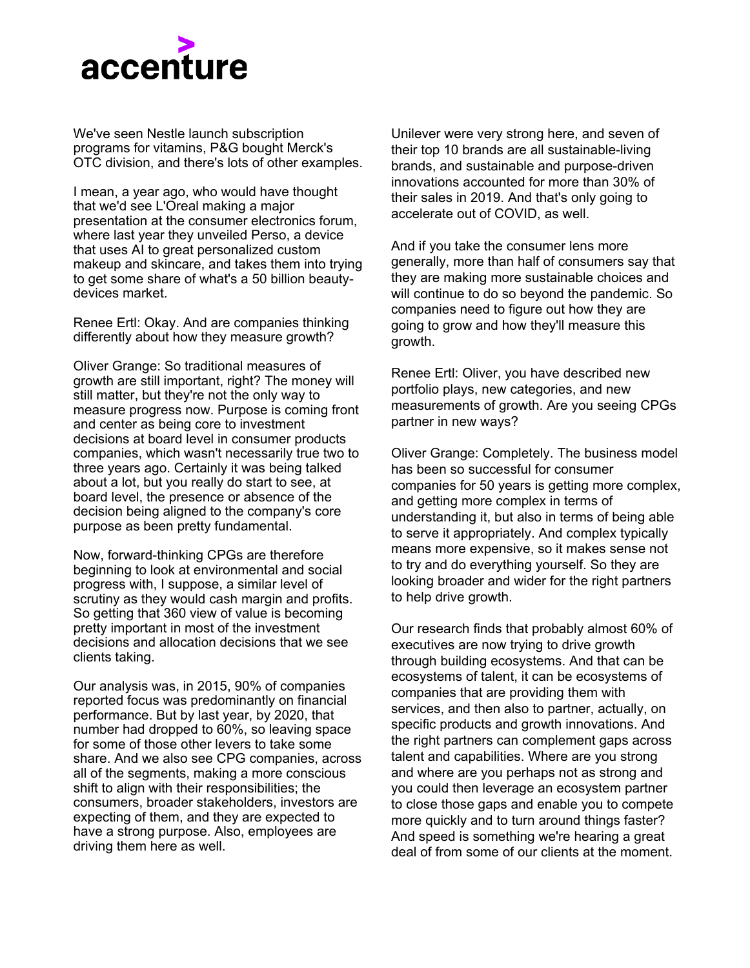

Jared, I would like you just to set the stage for our audience. Can you tell us why you keep doing this report at the beginning of the year? Also, am I right in my thinking that the 2022 trends feel a little different?

Jared - Sure, thanks again for having us. You know why we keep doing it, as we saw these three years back or so, we thought it might be interesting. What we realize is not only are they the trends, but it tends to turn itself into a bit of a checklist, or almost a homework assignment for our bankers to go look at and say am I meeting these criteria?

So, we find it to be a really simple way of saying are you thinking about those things that are most important and relevant as you think about moving your bank forward to the future. So that's the first thing I say as far as why it's different or what's different? I mean part of it, gives a bit of accolades to our banks, right? So, the last couple of years we've been talking a lot about the digital foundation and building this, you know the hardware if you will, to enable capability around digital. And as we look at where banks are, there's a bit of a nod to the banks for making their way through a lot of that.

They're certainly not finished, but as we look at some of the innovation and acceleration of digital and technology transformation in treasury and specifically around credit origination, we're seeing those rails really kind of be there to enable that digital capability.

So now as we see that, we see banks and an ability to capitalize on this investment, so it's important. I'd say as banks think about this as you are not at the end of a transformation you've built the foundation, right? The rising rate environment that we're hitting says there's probably some additional investment funds to be had, have your agenda ready and be ready. But you know, this is not the time to think that I'm done with transformation, or I'm fatigued with transformation. This is the time to say I'm ready to go really accelerate because the next level is right here with us, right now.

Danielle - So progress but you've got to keep leaning in.

Jared - Lots of leaning in, yes.

Danielle - So let's jump right into this. Jared, I'm going to start with you on this first trend. It's time to ditch the traditional help wanted approach and talk about Fintech powered banking and what that means for hiring talent. You're predicting that commercial banking will be losing their talent faster than ever and that they have some competitors out there like Silicon Valley. Can you talk a little bit about how those banks can stay competitive and let's just talk overall about the trend?

Jared - Sure, first of all I think the future can be really bright for banks and talent. So, I want to start with that point. We are in an unprecedented time with this pandemic and everybody thinking it's time for a new job, right? So, there's a lot of transition in the workforce. But as we look over the last decade, I think the luster of banking has lost a little bit of its appeal as you know and forgive me everybody, but like this idea that banking is a bit of a legacy industry and not tech-forward has been a bit of where banks struggle to attract talent.

Now we've done some analysis and studies that really show some interesting hiring patterns. First, let me talk about hiring patterns in Silicon Valley, specifically with Fintech's. Hard technology, or you know, very strong technology capability #1 not a lot of business acumen around banking, so they're hiring strong business acumen out of banks. And allowing them to build these super-powered apps and capabilities now, on the other side of that, banks continue to be focused on hiring from other banks.

So, someone had this job at a smaller bank or a lateral move, or something would extend capability and not really taking advantage over all of those other capabilities, now we do have some banks, you know, American Express, Capital One, others who are thinking about technology as that accelerator and thinking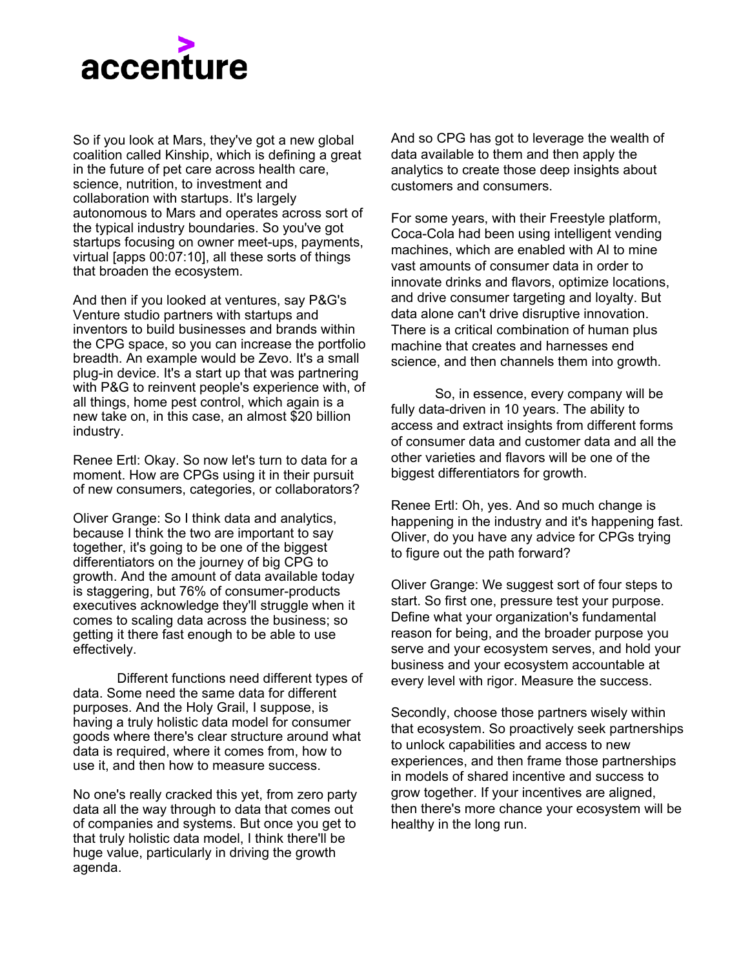

about do I need technical acumen in that technology division, or do I need it in banking?

So, bringing those things together is the power. But this is a bit of a flip, this upside-down moment for banks and say, "I shouldn't be losing it, I am the Fintech Center of Banking and Finance so if I can change that paradigm, that is how I can now attract and retain talent." And really have the swagger that the Silicon Valley folks have had because they've got the capital, they've got the investment, and everything is going in the bank's direction right now.

Chris - I think I want to come back to this sort of prestige point a bit.

If they could get back to the 80s in the 90s and where banks were with movies like Wall Street or Secret of my success, it was portrayed as "the place to be."

Unfortunately, the financial crisis sort of knocked a little bit of the sheen off that, and banks have struggled to get that back, but to your point, there's a real opportunity now with investments, with an influx of capital from the interest rate rise to really look at your talent strategy and to do something different. We've seen some recent announcements where some of the big banks have talked about raising salaries substantially, so the money is there, now it's time to bring back the luster in the procedure, and this idea that it's cool to be in banking.

Danielle - Are there any banks that are doing this particularly well or anybody that you guys have looked at?

Jared - There's a couple of banks that jump to me, I mentioned American Express. Thinking about how they're really tech forward and the way they're thinking about hiring folks as an example. But there are a handful of banks that are pushing the envelope in this direction. I don't know if anybody in wholesale embraced this idea that Silicon Valley can be my catalyst for technology. But we are seeing this in pockets across many banks, I'd say Chris, where there are non-banking technology execs being hired. Non-banking business execs to some extent being hired to push towards product innovation and technology innovation.

Danielle - OK, great, so let's move on to trend #2, which involves focusing on the right tools so its RMs: new year, new resolution. Jared, I think you're going to talk about this trend as well. Relationship managers have been notoriously slow to adopt CRM tools, what is it about that, and can banks help relationship managers get more comfortable moving forward? Why is it even important?

Jared - Why it's important? Banks who do it right are going to be able to grow their revenue and sales by 5 to 8% more than those who don't, so there's a tangible financial impact to get it right. That's why it's important.

Why has it not been adopted? There is a myriad of reasons, but the thing that jumps to me is RM's need information that's easy to consume that they can trust. And time and again, these CRM tools have these very complex dashboards that are made for people who like data who like to dig into that, and what I think about RM's, these are people who want it simple, who want to understand what the action might be. How I can track that and how it's simple for me to use, adapt and move on the road with. What we're seeing now is a push towards those insights being put together in a way they're reliable. So, the data is accurate, it's valid those data sets are actually something you can use on like clients to build out those capabilities, and then putting the tool, putting it in a tool that allows the RM to actually feel that it's helping them do their job and this is a bit of a mind shift change from CRM as a management tool, to CRM that is something that has got all this gravitational pool and it makes a RM better. RM's that are out there listening...

This is a way to grow your book by 5 to 8%, so if the tools are right and the data is right and you're using this, you will lead the pack in banking. But there's still work to be done I'd say to get bankers and banks to put this data in a way that is, truly easy to use, it's reliable and it's in a tool that is enabling the right behaviors around CRM that drive the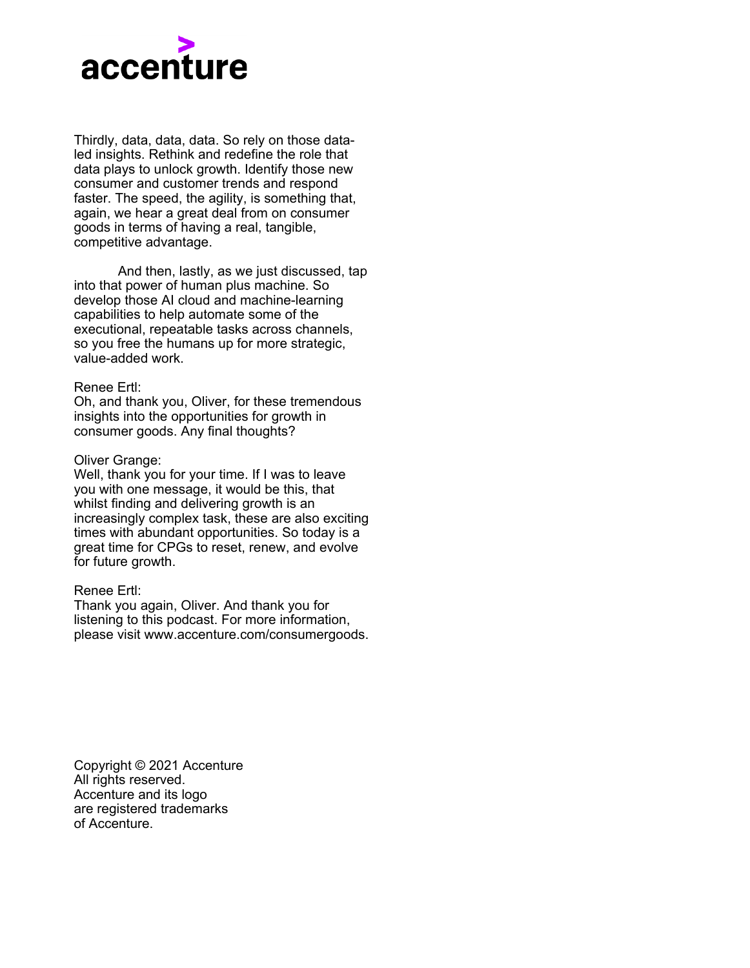

right actions at the CRM level, and importantly, provide management the right reporting and capabilities on what's happening with the pipeline.

Chris - I mean the RMs have been on the list of trends here for a couple of years now and I think what's different about this one is that we're moving away from investment in experimentation into usage and adoption. When we talked two years ago about the need to invest in CRMs, banks reacted.

I think it's because we said so, but probably not.

Danielle - It's definitely because you said so.

Chris- But the reality is, I think there's been something. We've seen the investment, but the adoption to this point isn't there yet, we haven't seen the returns, we haven't seen that outcome, and I think that's really where the emphasis is now. The data is there, the tools are there. Now it's time to use them and to get the outcome. It's all about moving from experimentation to usage.

Jared - One of our clients down in the Southeast Regional Bank has made some great progress in this area. So, I see their CRM's having enthusiasm through the tool because it's providing those leads that they were having to organically grow on their own, now they're using their data to get there.

I think that what they're doing is innovative and hats off to them, but those are the kind of things we need to see more and more stories for, and I think we're starting to see them and there's all you know. It's just a tremendous amount of value just sitting there waiting but this is about a change of tools and then changing behaviors that's going to drive the right revenue growth.

Danielle - That behavior change is tricky but getting there, right?

Let's move on to Trend 3, Chris, I'm going to start with you on this trend, the next evolution of digital customer portals. We all learn that customers want their banking experiences to be more like their Amazon experience, and I think we saw that even more with Covid.

What types of services are the clients expecting now and are the banks meeting that challenge? And what can banks do if they are not meeting that challenge at this point?

Chris - Well, they need to is the short version, but I think it's important here to start a little bit with a history lesson.

We're not going too far back, we can go back to 2020 trends, when we were sitting here, and we talked about the need for customer portals and digital engagement. Little did we know that 60 days later we'd all be locked in our homes and that would be the means of survival.

So, banks who would already start on that journey obviously had a leg up, and those who didn't thankfully reacted very quickly because they had to but unfortunately, I think some of that engagement was a little bit haphazard. And now what we're really seeing is a need to invest in manners that enhance that digital interaction, to your point, the lines have been blurred, the lines between consumer and business are gone.

You're doing, you're doing your work and your home life on the same computer from the same seat day in a day out and as a result, your expectations are there. The experience that you get on Amazon or at Uber or anywhere else is now the experience you want from your banks. So how does a bank respond to that? It's productivity, it's moving beyond just user interface and user experience and getting into real productivity. We've got some examples in the report, but some of the particular Banks who have integrated client financial systems with their portal.

So, think about if you're a small business owner and you're able to press a button and export your financials from QuickBooks into a bank versus the old way, which is save them, turn into a PDF, attaching to an email and sending to the RM. The RM saves the email, sends it over the credit guy who uploads it, takes a look, it's crazy.

All that technology exists now through open APIs, through open banking, so we've got this real use case for how to make the lives of clients